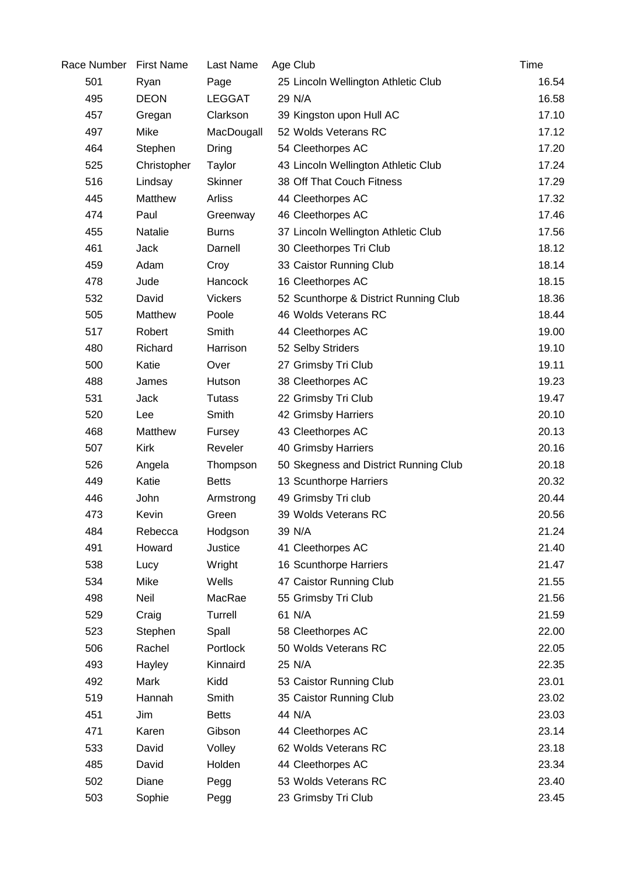| Race Number | <b>First Name</b> | Last Name      | Age Club                              | Time  |
|-------------|-------------------|----------------|---------------------------------------|-------|
| 501         | Ryan              | Page           | 25 Lincoln Wellington Athletic Club   | 16.54 |
| 495         | <b>DEON</b>       | <b>LEGGAT</b>  | 29 N/A                                | 16.58 |
| 457         | Gregan            | Clarkson       | 39 Kingston upon Hull AC              | 17.10 |
| 497         | Mike              | MacDougall     | 52 Wolds Veterans RC                  | 17.12 |
| 464         | Stephen           | <b>Dring</b>   | 54 Cleethorpes AC                     | 17.20 |
| 525         | Christopher       | Taylor         | 43 Lincoln Wellington Athletic Club   | 17.24 |
| 516         | Lindsay           | <b>Skinner</b> | 38 Off That Couch Fitness             | 17.29 |
| 445         | <b>Matthew</b>    | <b>Arliss</b>  | 44 Cleethorpes AC                     | 17.32 |
| 474         | Paul              | Greenway       | 46 Cleethorpes AC                     | 17.46 |
| 455         | Natalie           | <b>Burns</b>   | 37 Lincoln Wellington Athletic Club   | 17.56 |
| 461         | <b>Jack</b>       | Darnell        | 30 Cleethorpes Tri Club               | 18.12 |
| 459         | Adam              | Croy           | 33 Caistor Running Club               | 18.14 |
| 478         | Jude              | Hancock        | 16 Cleethorpes AC                     | 18.15 |
| 532         | David             | <b>Vickers</b> | 52 Scunthorpe & District Running Club | 18.36 |
| 505         | Matthew           | Poole          | 46 Wolds Veterans RC                  | 18.44 |
| 517         | Robert            | Smith          | 44 Cleethorpes AC                     | 19.00 |
| 480         | Richard           | Harrison       | 52 Selby Striders                     | 19.10 |
| 500         | Katie             | Over           | 27 Grimsby Tri Club                   | 19.11 |
| 488         | James             | Hutson         | 38 Cleethorpes AC                     | 19.23 |
| 531         | Jack              | <b>Tutass</b>  | 22 Grimsby Tri Club                   | 19.47 |
| 520         | Lee               | Smith          | 42 Grimsby Harriers                   | 20.10 |
| 468         | Matthew           | Fursey         | 43 Cleethorpes AC                     | 20.13 |
| 507         | <b>Kirk</b>       | Reveler        | 40 Grimsby Harriers                   | 20.16 |
| 526         | Angela            | Thompson       | 50 Skegness and District Running Club | 20.18 |
| 449         | Katie             | <b>Betts</b>   | 13 Scunthorpe Harriers                | 20.32 |
| 446         | John              | Armstrong      | 49 Grimsby Tri club                   | 20.44 |
| 473         | Kevin             | Green          | 39 Wolds Veterans RC                  | 20.56 |
| 484         | Rebecca           | Hodgson        | 39 N/A                                | 21.24 |
| 491         | Howard            | Justice        | 41 Cleethorpes AC                     | 21.40 |
| 538         | Lucy              | Wright         | 16 Scunthorpe Harriers                | 21.47 |
| 534         | Mike              | Wells          | 47 Caistor Running Club               | 21.55 |
| 498         | Neil              | MacRae         | 55 Grimsby Tri Club                   | 21.56 |
| 529         | Craig             | Turrell        | 61 N/A                                | 21.59 |
| 523         | Stephen           | Spall          | 58 Cleethorpes AC                     | 22.00 |
| 506         | Rachel            | Portlock       | 50 Wolds Veterans RC                  | 22.05 |
| 493         | Hayley            | Kinnaird       | 25 N/A                                | 22.35 |
| 492         | Mark              | Kidd           | 53 Caistor Running Club               | 23.01 |
| 519         | Hannah            | Smith          | 35 Caistor Running Club               | 23.02 |
| 451         | Jim               | <b>Betts</b>   | 44 N/A                                | 23.03 |
| 471         | Karen             | Gibson         | 44 Cleethorpes AC                     | 23.14 |
| 533         | David             | Volley         | 62 Wolds Veterans RC                  | 23.18 |
| 485         | David             | Holden         | 44 Cleethorpes AC                     | 23.34 |
| 502         | Diane             | Pegg           | 53 Wolds Veterans RC                  | 23.40 |
| 503         | Sophie            | Pegg           | 23 Grimsby Tri Club                   | 23.45 |